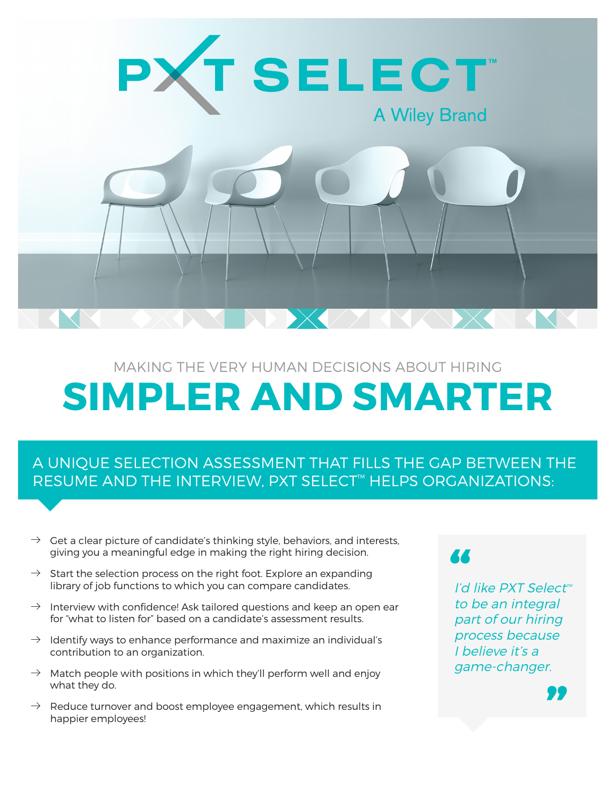

# MAKING THE VERY HUMAN DECISIONS ABOUT HIRING **SIMPLER AND SMARTER**

# A UNIQUE SELECTION ASSESSMENT THAT FILLS THE GAP BETWEEN THE RESUME AND THE INTERVIEW, PXT SELECT™ HELPS ORGANIZATIONS:

- $\rightarrow$  Get a clear picture of candidate's thinking style, behaviors, and interests, giving you a meaningful edge in making the right hiring decision.
- $\rightarrow$  Start the selection process on the right foot. Explore an expanding library of job functions to which you can compare candidates.
- $\rightarrow$  Interview with confidence! Ask tailored questions and keep an open ear for "what to listen for" based on a candidate's assessment results.
- $\rightarrow$  Identify ways to enhance performance and maximize an individual's contribution to an organization.
- $\rightarrow$  Match people with positions in which they'll perform well and enjoy what they do.
- $\rightarrow$  Reduce turnover and boost employee engagement, which results in happier employees!

### 44

I'd like PXT Select™ to be an integral part of our hiring process because I believe it's a game-changer.